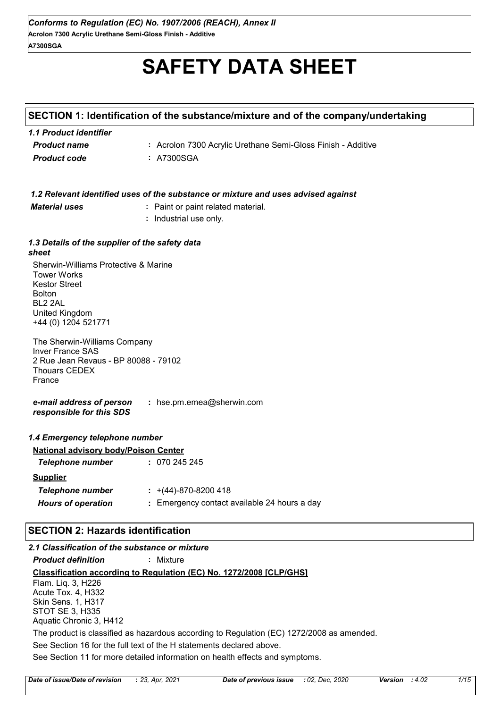# **SAFETY DATA SHEET**

# **SECTION 1: Identification of the substance/mixture and of the company/undertaking**

| 1.1 Product identifier |                                                              |
|------------------------|--------------------------------------------------------------|
| <b>Product name</b>    | : Acrolon 7300 Acrylic Urethane Semi-Gloss Finish - Additive |
| <b>Product code</b>    | : A7300SGA                                                   |

| 1.2 Relevant identified uses of the substance or mixture and uses advised against |
|-----------------------------------------------------------------------------------|
|-----------------------------------------------------------------------------------|

*Material uses* **:** Paint or paint related material.

**:** Industrial use only.

#### *1.3 Details of the supplier of the safety data sheet*

Sherwin-Williams Protective & Marine Tower Works Kestor Street Bolton BL2 2AL United Kingdom +44 (0) 1204 521771

The Sherwin-Williams Company Inver France SAS 2 Rue Jean Revaus - BP 80088 - 79102 Thouars CEDEX France

*e-mail address of person responsible for this SDS* **:** hse.pm.emea@sherwin.com

| 1.4 Emergency telephone number              |                                              |
|---------------------------------------------|----------------------------------------------|
| <b>National advisory body/Poison Center</b> |                                              |
| <b>Telephone number</b>                     | : 070245245                                  |
| <b>Supplier</b>                             |                                              |
| <b>Telephone number</b>                     | $\div$ +(44)-870-8200 418                    |
| <b>Hours of operation</b>                   | : Emergency contact available 24 hours a day |
|                                             |                                              |

# **SECTION 2: Hazards identification**

| 2.1 Classification of the substance or mixture |                                                                                           |
|------------------------------------------------|-------------------------------------------------------------------------------------------|
| <b>Product definition</b>                      | : Mixture                                                                                 |
|                                                | Classification according to Regulation (EC) No. 1272/2008 [CLP/GHS]                       |
| Flam. Liq. 3, H226                             |                                                                                           |
| Acute Tox. 4, H332                             |                                                                                           |
| <b>Skin Sens. 1, H317</b>                      |                                                                                           |
| STOT SE 3, H335                                |                                                                                           |
| Aquatic Chronic 3, H412                        |                                                                                           |
|                                                | The product is classified as hazardous according to Regulation (EC) 1272/2008 as amended. |
|                                                | See Section 16 for the full text of the H statements declared above.                      |
|                                                | See Section 11 for more detailed information on health effects and symptoms.              |
|                                                |                                                                                           |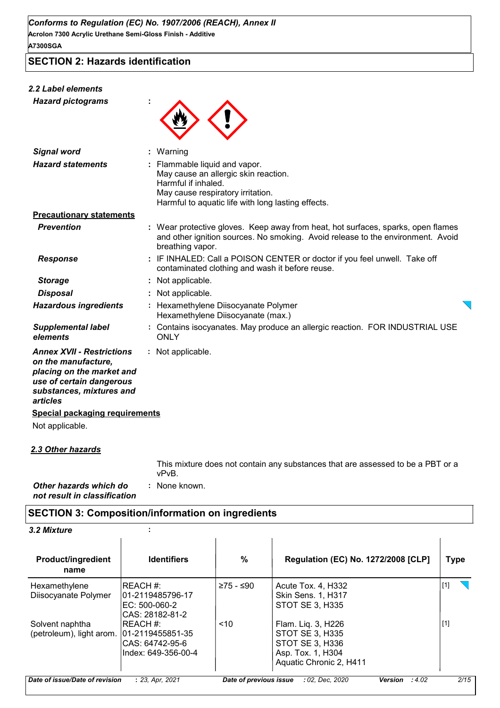**SECTION 2: Hazards identification**

# *2.2 Label elements*

*Hazard pictograms* **:**



| Signal word                                                                                                                                              | $:$ Warning                                                                                                                                                                             |  |
|----------------------------------------------------------------------------------------------------------------------------------------------------------|-----------------------------------------------------------------------------------------------------------------------------------------------------------------------------------------|--|
| <b>Hazard statements</b>                                                                                                                                 | : Flammable liquid and vapor.<br>May cause an allergic skin reaction.<br>Harmful if inhaled.<br>May cause respiratory irritation.<br>Harmful to aquatic life with long lasting effects. |  |
| <b>Precautionary statements</b>                                                                                                                          |                                                                                                                                                                                         |  |
| <b>Prevention</b>                                                                                                                                        | : Wear protective gloves. Keep away from heat, hot surfaces, sparks, open flames<br>and other ignition sources. No smoking. Avoid release to the environment. Avoid<br>breathing vapor. |  |
| <b>Response</b>                                                                                                                                          | : IF INHALED: Call a POISON CENTER or doctor if you feel unwell. Take off<br>contaminated clothing and wash it before reuse.                                                            |  |
| <b>Storage</b>                                                                                                                                           | : Not applicable.                                                                                                                                                                       |  |
| <b>Disposal</b>                                                                                                                                          | : Not applicable.                                                                                                                                                                       |  |
| <b>Hazardous ingredients</b>                                                                                                                             | : Hexamethylene Diisocyanate Polymer<br>Hexamethylene Diisocyanate (max.)                                                                                                               |  |
| <b>Supplemental label</b><br>elements                                                                                                                    | Contains isocyanates. May produce an allergic reaction. FOR INDUSTRIAL USE<br><b>ONLY</b>                                                                                               |  |
| <b>Annex XVII - Restrictions</b><br>on the manufacture,<br>placing on the market and<br>use of certain dangerous<br>substances, mixtures and<br>articles | : Not applicable.                                                                                                                                                                       |  |
| <b>Special packaging requirements</b>                                                                                                                    |                                                                                                                                                                                         |  |
| Not applicable.                                                                                                                                          |                                                                                                                                                                                         |  |
|                                                                                                                                                          |                                                                                                                                                                                         |  |

*2.3 Other hazards*

: None known. This mixture does not contain any substances that are assessed to be a PBT or a vPvB.

*Other hazards which do* **:** *not result in classification*

# **SECTION 3: Composition/information on ingredients**

| <b>3.2 Mixture</b> |  |
|--------------------|--|
|--------------------|--|

| <b>Product/ingredient</b><br>name | <b>Identifiers</b>               | $\%$                   | <b>Regulation (EC) No. 1272/2008 [CLP]</b> | Type  |
|-----------------------------------|----------------------------------|------------------------|--------------------------------------------|-------|
| Hexamethylene                     | IREACH #:                        | ≥75 - ≤90              | Acute Tox. 4, H332                         | $[1]$ |
| Diisocyanate Polymer              | 01-2119485796-17                 |                        | <b>Skin Sens. 1, H317</b>                  |       |
|                                   | EC: 500-060-2<br>CAS: 28182-81-2 |                        | STOT SE 3, H335                            |       |
| Solvent naphtha                   | IREACH #:                        | ~10                    | Flam. Liq. 3, H226                         | $[1]$ |
| (petroleum), light arom.          | 01-2119455851-35                 |                        | STOT SE 3, H335                            |       |
|                                   | CAS: 64742-95-6                  |                        | STOT SE 3, H336                            |       |
|                                   | Index: 649-356-00-4              |                        | Asp. Tox. 1, H304                          |       |
|                                   |                                  |                        | Aquatic Chronic 2, H411                    |       |
| Date of issue/Date of revision    | : 23, Apr. 2021                  | Date of previous issue | :4.02<br>: 02, Dec. 2020<br>Version        | 2/15  |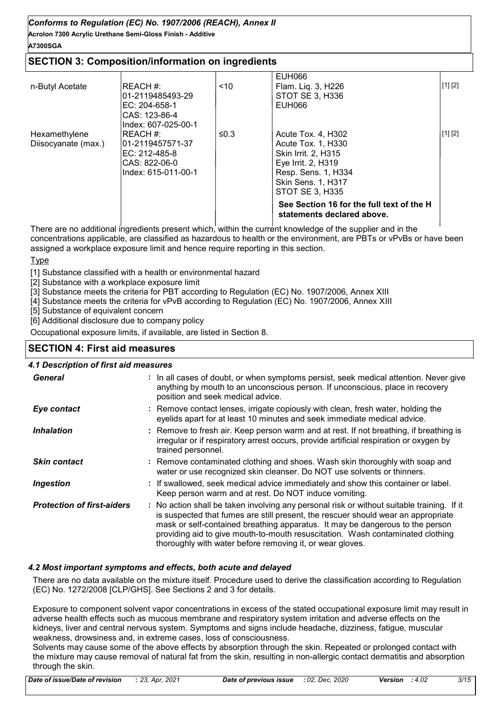**Acrolon 7300 Acrylic Urethane Semi-Gloss Finish - Additive A7300SGA**

# **SECTION 3: Composition/information on ingredients**

|                     |                                                       |      | See Section 16 for the full text of the H<br>statements declared above. |         |
|---------------------|-------------------------------------------------------|------|-------------------------------------------------------------------------|---------|
|                     | Index: 615-011-00-1                                   |      | Resp. Sens. 1, H334<br>Skin Sens. 1, H317<br>STOT SE 3. H335            |         |
|                     | IEC: 212-485-8<br>CAS: 822-06-0                       |      | <b>Skin Irrit. 2. H315</b><br>Eye Irrit. 2, H319                        |         |
| Diisocyanate (max.) | 01-2119457571-37                                      |      | Acute Tox. 1, H330                                                      |         |
| Hexamethylene       | ICAS: 123-86-4<br>Index: 607-025-00-1<br>IREACH #:    | ≤0.3 | Acute Tox. 4, H302                                                      | [1] [2] |
| n-Butyl Acetate     | <b>REACH#:</b><br>l01-2119485493-29<br>IEC: 204-658-1 | < 10 | Flam. Lig. 3, H226<br>STOT SE 3. H336<br>EUH066                         | [1] [2] |
|                     |                                                       |      | EUH066                                                                  |         |

There are no additional ingredients present which, within the current knowledge of the supplier and in the concentrations applicable, are classified as hazardous to health or the environment, are PBTs or vPvBs or have been assigned a workplace exposure limit and hence require reporting in this section.

#### **Type**

[1] Substance classified with a health or environmental hazard

[2] Substance with a workplace exposure limit

[3] Substance meets the criteria for PBT according to Regulation (EC) No. 1907/2006, Annex XIII

[4] Substance meets the criteria for vPvB according to Regulation (EC) No. 1907/2006, Annex XIII

[5] Substance of equivalent concern

[6] Additional disclosure due to company policy

Occupational exposure limits, if available, are listed in Section 8.

# **SECTION 4: First aid measures**

#### *4.1 Description of first aid measures*

| <b>General</b>                    | : In all cases of doubt, or when symptoms persist, seek medical attention. Never give<br>anything by mouth to an unconscious person. If unconscious, place in recovery<br>position and seek medical advice.                                                                                                                                                                                                     |
|-----------------------------------|-----------------------------------------------------------------------------------------------------------------------------------------------------------------------------------------------------------------------------------------------------------------------------------------------------------------------------------------------------------------------------------------------------------------|
| Eye contact                       | : Remove contact lenses, irrigate copiously with clean, fresh water, holding the<br>eyelids apart for at least 10 minutes and seek immediate medical advice.                                                                                                                                                                                                                                                    |
| <b>Inhalation</b>                 | : Remove to fresh air. Keep person warm and at rest. If not breathing, if breathing is<br>irregular or if respiratory arrest occurs, provide artificial respiration or oxygen by<br>trained personnel.                                                                                                                                                                                                          |
| <b>Skin contact</b>               | : Remove contaminated clothing and shoes. Wash skin thoroughly with soap and<br>water or use recognized skin cleanser. Do NOT use solvents or thinners.                                                                                                                                                                                                                                                         |
| <b>Ingestion</b>                  | : If swallowed, seek medical advice immediately and show this container or label.<br>Keep person warm and at rest. Do NOT induce vomiting.                                                                                                                                                                                                                                                                      |
| <b>Protection of first-aiders</b> | : No action shall be taken involving any personal risk or without suitable training. If it<br>is suspected that fumes are still present, the rescuer should wear an appropriate<br>mask or self-contained breathing apparatus. It may be dangerous to the person<br>providing aid to give mouth-to-mouth resuscitation. Wash contaminated clothing<br>thoroughly with water before removing it, or wear gloves. |

#### *4.2 Most important symptoms and effects, both acute and delayed*

There are no data available on the mixture itself. Procedure used to derive the classification according to Regulation (EC) No. 1272/2008 [CLP/GHS]. See Sections 2 and 3 for details.

Exposure to component solvent vapor concentrations in excess of the stated occupational exposure limit may result in adverse health effects such as mucous membrane and respiratory system irritation and adverse effects on the kidneys, liver and central nervous system. Symptoms and signs include headache, dizziness, fatigue, muscular weakness, drowsiness and, in extreme cases, loss of consciousness.

Solvents may cause some of the above effects by absorption through the skin. Repeated or prolonged contact with the mixture may cause removal of natural fat from the skin, resulting in non-allergic contact dermatitis and absorption through the skin.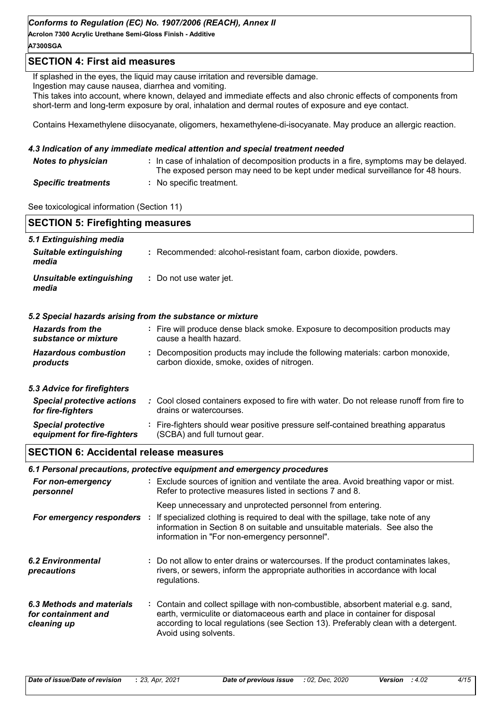**Acrolon 7300 Acrylic Urethane Semi-Gloss Finish - Additive A7300SGA**

# **SECTION 4: First aid measures**

If splashed in the eyes, the liquid may cause irritation and reversible damage.

Ingestion may cause nausea, diarrhea and vomiting.

This takes into account, where known, delayed and immediate effects and also chronic effects of components from short-term and long-term exposure by oral, inhalation and dermal routes of exposure and eye contact.

Contains Hexamethylene diisocyanate, oligomers, hexamethylene-di-isocyanate. May produce an allergic reaction.

#### *4.3 Indication of any immediate medical attention and special treatment needed*

| <b>Notes to physician</b>  | : In case of inhalation of decomposition products in a fire, symptoms may be delayed.<br>The exposed person may need to be kept under medical surveillance for 48 hours. |
|----------------------------|--------------------------------------------------------------------------------------------------------------------------------------------------------------------------|
| <b>Specific treatments</b> | : No specific treatment.                                                                                                                                                 |

See toxicological information (Section 11)

| <b>SECTION 5: Firefighting measures</b>                  |                                                                                                                                                  |  |
|----------------------------------------------------------|--------------------------------------------------------------------------------------------------------------------------------------------------|--|
| 5.1 Extinguishing media                                  |                                                                                                                                                  |  |
| <b>Suitable extinguishing</b><br>media                   | : Recommended: alcohol-resistant foam, carbon dioxide, powders.                                                                                  |  |
| Unsuitable extinguishing<br>media                        | : Do not use water jet.                                                                                                                          |  |
|                                                          | 5.2 Special hazards arising from the substance or mixture                                                                                        |  |
| <b>Hazards from the</b><br>substance or mixture          | : Fire will produce dense black smoke. Exposure to decomposition products may<br>cause a health hazard.                                          |  |
| <b>Hazardous combustion</b><br>products                  | : Decomposition products may include the following materials: carbon monoxide,<br>carbon dioxide, smoke, oxides of nitrogen.                     |  |
| 5.3 Advice for firefighters                              |                                                                                                                                                  |  |
| <b>Special protective actions</b><br>for fire-fighters   | : Cool closed containers exposed to fire with water. Do not release runoff from fire to<br>drains or watercourses.                               |  |
| <b>Special protective</b><br>equipment for fire-fighters | : Fire-fighters should wear positive pressure self-contained breathing apparatus<br>(SCBA) and full turnout gear.                                |  |
| <b>SECTION 6: Accidental release measures</b>            |                                                                                                                                                  |  |
|                                                          | 6.1 Personal precautions, protective equipment and emergency procedures                                                                          |  |
| For non-emergency<br>personnel                           | : Exclude sources of ignition and ventilate the area. Avoid breathing vapor or mist.<br>Refer to protective measures listed in sections 7 and 8. |  |
|                                                          | Keep unnecessary and unprotected personnel from entering.                                                                                        |  |

|  | <b>For emergency responders</b> : If specialized clothing is required to deal with the spillage, take note of any<br>information in Section 8 on suitable and unsuitable materials. See also the<br>information in "For non-emergency personnel". |
|--|---------------------------------------------------------------------------------------------------------------------------------------------------------------------------------------------------------------------------------------------------|
|  |                                                                                                                                                                                                                                                   |

- Do not allow to enter drains or watercourses. If the product contaminates lakes, **:** rivers, or sewers, inform the appropriate authorities in accordance with local regulations. *6.2 Environmental precautions*
- Contain and collect spillage with non-combustible, absorbent material e.g. sand, **:** earth, vermiculite or diatomaceous earth and place in container for disposal according to local regulations (see Section 13). Preferably clean with a detergent. Avoid using solvents. *6.3 Methods and materials for containment and cleaning up*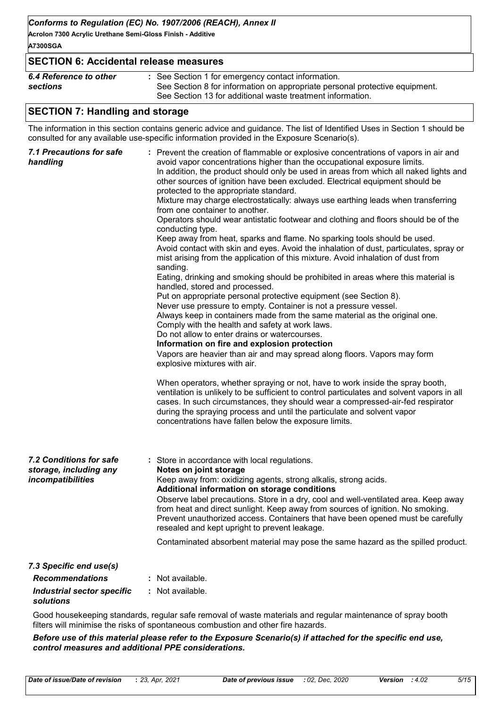**Acrolon 7300 Acrylic Urethane Semi-Gloss Finish - Additive A7300SGA**

| <b>SECTION 6: Accidental release measures</b> |                                                                             |
|-----------------------------------------------|-----------------------------------------------------------------------------|
| 6.4 Reference to other                        | : See Section 1 for emergency contact information.                          |
| sections                                      | See Section 8 for information on appropriate personal protective equipment. |
|                                               | See Section 13 for additional waste treatment information.                  |

# **SECTION 7: Handling and storage**

The information in this section contains generic advice and guidance. The list of Identified Uses in Section 1 should be consulted for any available use-specific information provided in the Exposure Scenario(s).

| 7.1 Precautions for safe<br>handling                                   | : Prevent the creation of flammable or explosive concentrations of vapors in air and<br>avoid vapor concentrations higher than the occupational exposure limits.<br>In addition, the product should only be used in areas from which all naked lights and<br>other sources of ignition have been excluded. Electrical equipment should be<br>protected to the appropriate standard.<br>Mixture may charge electrostatically: always use earthing leads when transferring<br>from one container to another.<br>Operators should wear antistatic footwear and clothing and floors should be of the<br>conducting type.<br>Keep away from heat, sparks and flame. No sparking tools should be used.<br>Avoid contact with skin and eyes. Avoid the inhalation of dust, particulates, spray or<br>mist arising from the application of this mixture. Avoid inhalation of dust from<br>sanding.<br>Eating, drinking and smoking should be prohibited in areas where this material is<br>handled, stored and processed.<br>Put on appropriate personal protective equipment (see Section 8).<br>Never use pressure to empty. Container is not a pressure vessel.<br>Always keep in containers made from the same material as the original one.<br>Comply with the health and safety at work laws.<br>Do not allow to enter drains or watercourses.<br>Information on fire and explosion protection<br>Vapors are heavier than air and may spread along floors. Vapors may form<br>explosive mixtures with air.<br>When operators, whether spraying or not, have to work inside the spray booth,<br>ventilation is unlikely to be sufficient to control particulates and solvent vapors in all<br>cases. In such circumstances, they should wear a compressed-air-fed respirator<br>during the spraying process and until the particulate and solvent vapor<br>concentrations have fallen below the exposure limits. |
|------------------------------------------------------------------------|---------------------------------------------------------------------------------------------------------------------------------------------------------------------------------------------------------------------------------------------------------------------------------------------------------------------------------------------------------------------------------------------------------------------------------------------------------------------------------------------------------------------------------------------------------------------------------------------------------------------------------------------------------------------------------------------------------------------------------------------------------------------------------------------------------------------------------------------------------------------------------------------------------------------------------------------------------------------------------------------------------------------------------------------------------------------------------------------------------------------------------------------------------------------------------------------------------------------------------------------------------------------------------------------------------------------------------------------------------------------------------------------------------------------------------------------------------------------------------------------------------------------------------------------------------------------------------------------------------------------------------------------------------------------------------------------------------------------------------------------------------------------------------------------------------------------------------------------------------------------------------------------------------------|
| 7.2 Conditions for safe<br>storage, including any<br>incompatibilities | : Store in accordance with local regulations.<br>Notes on joint storage<br>Keep away from: oxidizing agents, strong alkalis, strong acids.<br>Additional information on storage conditions<br>Observe label precautions. Store in a dry, cool and well-ventilated area. Keep away<br>from heat and direct sunlight. Keep away from sources of ignition. No smoking.<br>Prevent unauthorized access. Containers that have been opened must be carefully<br>resealed and kept upright to prevent leakage.<br>Contaminated absorbent material may pose the same hazard as the spilled product.                                                                                                                                                                                                                                                                                                                                                                                                                                                                                                                                                                                                                                                                                                                                                                                                                                                                                                                                                                                                                                                                                                                                                                                                                                                                                                                   |
| 7.3 Specific end use(s)                                                |                                                                                                                                                                                                                                                                                                                                                                                                                                                                                                                                                                                                                                                                                                                                                                                                                                                                                                                                                                                                                                                                                                                                                                                                                                                                                                                                                                                                                                                                                                                                                                                                                                                                                                                                                                                                                                                                                                               |
| <b>Recommendations</b>                                                 | : Not available.                                                                                                                                                                                                                                                                                                                                                                                                                                                                                                                                                                                                                                                                                                                                                                                                                                                                                                                                                                                                                                                                                                                                                                                                                                                                                                                                                                                                                                                                                                                                                                                                                                                                                                                                                                                                                                                                                              |
| <b>Industrial sector specific</b><br>solutions                         | : Not available.                                                                                                                                                                                                                                                                                                                                                                                                                                                                                                                                                                                                                                                                                                                                                                                                                                                                                                                                                                                                                                                                                                                                                                                                                                                                                                                                                                                                                                                                                                                                                                                                                                                                                                                                                                                                                                                                                              |

Good housekeeping standards, regular safe removal of waste materials and regular maintenance of spray booth filters will minimise the risks of spontaneous combustion and other fire hazards.

*Before use of this material please refer to the Exposure Scenario(s) if attached for the specific end use, control measures and additional PPE considerations.*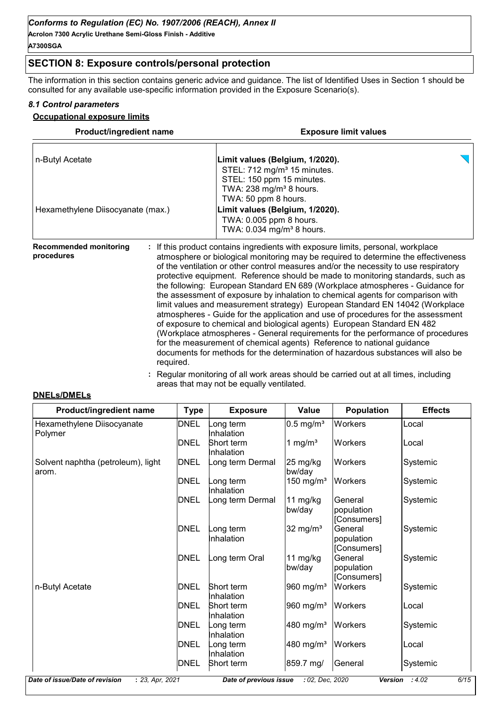# **SECTION 8: Exposure controls/personal protection**

The information in this section contains generic advice and guidance. The list of Identified Uses in Section 1 should be consulted for any available use-specific information provided in the Exposure Scenario(s).

#### *8.1 Control parameters*

#### **Occupational exposure limits**

| <b>Product/ingredient name</b>    | <b>Exposure limit values</b>                                                                                                                                             |  |  |  |  |
|-----------------------------------|--------------------------------------------------------------------------------------------------------------------------------------------------------------------------|--|--|--|--|
| n-Butyl Acetate                   | Limit values (Belgium, 1/2020).<br>STEL: 712 mg/m <sup>3</sup> 15 minutes.<br>STEL: 150 ppm 15 minutes.<br>TWA: $238$ mg/m <sup>3</sup> 8 hours.<br>TWA: 50 ppm 8 hours. |  |  |  |  |
| Hexamethylene Diisocyanate (max.) | Limit values (Belgium, 1/2020).<br>TWA: 0.005 ppm 8 hours.<br>TWA: 0.034 mg/m <sup>3</sup> 8 hours.                                                                      |  |  |  |  |
| <b>Recommended monitoring</b>     | : If this product contains ingredients with exposure limits, personal, workplace                                                                                         |  |  |  |  |

**procedures** atmosphere or biological monitoring may be required to determine the effectiveness of the ventilation or other control measures and/or the necessity to use respiratory protective equipment. Reference should be made to monitoring standards, such as the following: European Standard EN 689 (Workplace atmospheres - Guidance for the assessment of exposure by inhalation to chemical agents for comparison with limit values and measurement strategy) European Standard EN 14042 (Workplace atmospheres - Guide for the application and use of procedures for the assessment of exposure to chemical and biological agents) European Standard EN 482 (Workplace atmospheres - General requirements for the performance of procedures for the measurement of chemical agents) Reference to national guidance documents for methods for the determination of hazardous substances will also be required.

> **:** Regular monitoring of all work areas should be carried out at all times, including areas that may not be equally ventilated.

#### **DNELs/DMELs**

| Product/ingredient name                     | <b>Type</b> | <b>Exposure</b>                | <b>Value</b>                 | <b>Population</b>                    | <b>Effects</b> |
|---------------------------------------------|-------------|--------------------------------|------------------------------|--------------------------------------|----------------|
| Hexamethylene Diisocyanate<br>Polymer       | <b>DNEL</b> | ong term<br>nhalation          | $0.5$ mg/m <sup>3</sup>      | Workers                              | Local          |
|                                             | <b>DNEL</b> | <b>Short term</b><br>nhalation | 1 mg/ $m3$                   | <b>Workers</b>                       | lLocal         |
| Solvent naphtha (petroleum), light<br>arom. | <b>DNEL</b> | ong term Dermal                | $25 \text{ mg/kg}$<br>bw/day | <b>Workers</b>                       | Systemic       |
|                                             | <b>DNEL</b> | ong term.<br>nhalation         | 150 mg/m <sup>3</sup>        | <b>Workers</b>                       | Systemic       |
|                                             | <b>DNEL</b> | ong term Dermal                | 11 mg/kg<br>bw/day           | General<br>population<br>[Consumers] | Systemic       |
|                                             | <b>DNEL</b> | ong term<br>nhalation          | 32 mg/ $m3$                  | General<br>population<br>[Consumers] | Systemic       |
|                                             | <b>DNEL</b> | ong term Oral                  | 11 $mg/kg$<br>bw/day         | General<br>population<br>[Consumers] | Systemic       |
| n-Butyl Acetate                             | <b>DNEL</b> | Short term<br>Inhalation       | 960 mg/m <sup>3</sup>        | <b>Workers</b>                       | Systemic       |
|                                             | DNEL        | Short term<br>Inhalation       | 960 mg/m <sup>3</sup>        | <b>Workers</b>                       | Local          |
|                                             | DNEL        | ong term<br>nhalation          | 480 mg/m <sup>3</sup>        | <b>Workers</b>                       | Systemic       |
|                                             | <b>DNEL</b> | ong term<br>nhalation          | 480 mg/m <sup>3</sup>        | <b>Workers</b>                       | Local          |
|                                             | DNEL        | Short term                     | 859.7 mg/                    | General                              | Systemic       |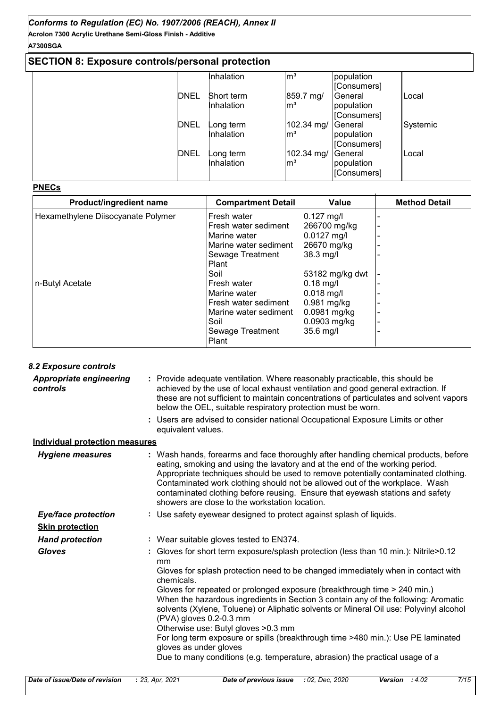# **SECTION 8: Exposure controls/personal protection**

|             | Inhalation | $\mathsf{m}^3$  | population  |          |
|-------------|------------|-----------------|-------------|----------|
|             |            |                 | [Consumers] |          |
| <b>DNEL</b> | Short term | 859.7 mg/       | General     | Local    |
|             | Inhalation | $\mathsf{Im}^3$ | population  |          |
|             |            |                 | [Consumers] |          |
| <b>DNEL</b> | _ong term  | 102.34 mg/      | General     | Systemic |
|             | Inhalation | $\mathsf{Im}^3$ | population  |          |
|             |            |                 | [Consumers] |          |
| <b>DNEL</b> | ong term_  | 102.34 mg/      | General     | Local    |
|             | Inhalation | $\mathsf{Im}^3$ | population  |          |
|             |            |                 | [Consumers] |          |

#### **PNECs**

| Product/ingredient name            | <b>Compartment Detail</b> | Value           | <b>Method Detail</b> |
|------------------------------------|---------------------------|-----------------|----------------------|
| Hexamethylene Diisocyanate Polymer | lFresh water              | $0.127$ mg/l    |                      |
|                                    | Fresh water sediment      | 266700 mg/kg    |                      |
|                                    | Marine water              | $0.0127$ mg/l   |                      |
|                                    | Marine water sediment     | 26670 mg/kg     |                      |
|                                    | Sewage Treatment          | 38.3 mg/l       |                      |
|                                    | <b>Plant</b>              |                 |                      |
|                                    | Soil                      | 53182 mg/kg dwt |                      |
| n-Butyl Acetate                    | lFresh water              | $0.18$ mg/l     |                      |
|                                    | Marine water              | $0.018$ mg/l    |                      |
|                                    | lFresh water sediment     | 0.981 mg/kg     |                      |
|                                    | Marine water sediment     | 0.0981 mg/kg    |                      |
|                                    | Soil                      | 0.0903 mg/kg    |                      |
|                                    | Sewage Treatment          | 35.6 mg/l       |                      |
|                                    | Plant                     |                 |                      |

| 8.2 Exposure controls                      |                                                                                                                                                                                                                                                                                                                                                                                                                                                                                                                                                                                                                                                                                                                           |
|--------------------------------------------|---------------------------------------------------------------------------------------------------------------------------------------------------------------------------------------------------------------------------------------------------------------------------------------------------------------------------------------------------------------------------------------------------------------------------------------------------------------------------------------------------------------------------------------------------------------------------------------------------------------------------------------------------------------------------------------------------------------------------|
| <b>Appropriate engineering</b><br>controls | : Provide adequate ventilation. Where reasonably practicable, this should be<br>achieved by the use of local exhaust ventilation and good general extraction. If<br>these are not sufficient to maintain concentrations of particulates and solvent vapors<br>below the OEL, suitable respiratory protection must be worn.                                                                                                                                                                                                                                                                                                                                                                                                |
|                                            | : Users are advised to consider national Occupational Exposure Limits or other<br>equivalent values.                                                                                                                                                                                                                                                                                                                                                                                                                                                                                                                                                                                                                      |
| <b>Individual protection measures</b>      |                                                                                                                                                                                                                                                                                                                                                                                                                                                                                                                                                                                                                                                                                                                           |
| <b>Hygiene measures</b>                    | : Wash hands, forearms and face thoroughly after handling chemical products, before<br>eating, smoking and using the lavatory and at the end of the working period.<br>Appropriate techniques should be used to remove potentially contaminated clothing.<br>Contaminated work clothing should not be allowed out of the workplace. Wash<br>contaminated clothing before reusing. Ensure that eyewash stations and safety<br>showers are close to the workstation location.                                                                                                                                                                                                                                               |
| <b>Eye/face protection</b>                 | : Use safety eyewear designed to protect against splash of liquids.                                                                                                                                                                                                                                                                                                                                                                                                                                                                                                                                                                                                                                                       |
| <b>Skin protection</b>                     |                                                                                                                                                                                                                                                                                                                                                                                                                                                                                                                                                                                                                                                                                                                           |
| <b>Hand protection</b>                     | : Wear suitable gloves tested to EN374.                                                                                                                                                                                                                                                                                                                                                                                                                                                                                                                                                                                                                                                                                   |
| <b>Gloves</b>                              | : Gloves for short term exposure/splash protection (less than 10 min.): Nitrile>0.12<br>mm<br>Gloves for splash protection need to be changed immediately when in contact with<br>chemicals.<br>Gloves for repeated or prolonged exposure (breakthrough time > 240 min.)<br>When the hazardous ingredients in Section 3 contain any of the following: Aromatic<br>solvents (Xylene, Toluene) or Aliphatic solvents or Mineral Oil use: Polyvinyl alcohol<br>(PVA) gloves 0.2-0.3 mm<br>Otherwise use: Butyl gloves > 0.3 mm<br>For long term exposure or spills (breakthrough time >480 min.): Use PE laminated<br>gloves as under gloves<br>Due to many conditions (e.g. temperature, abrasion) the practical usage of a |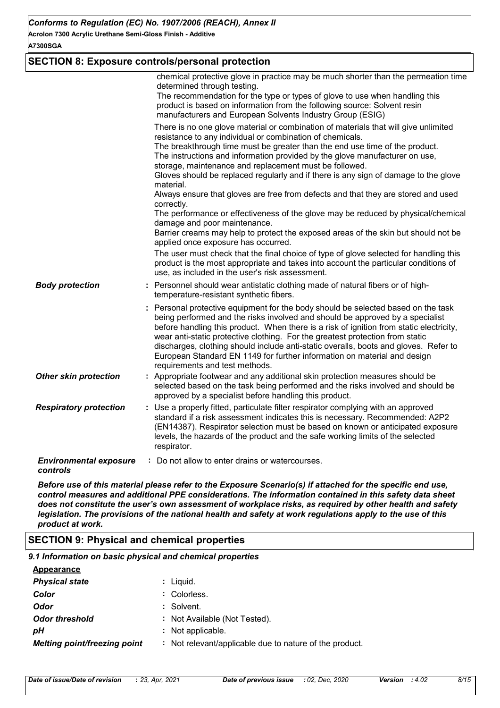#### **A7300SGA**

# **SECTION 8: Exposure controls/personal protection**

|                                           | chemical protective glove in practice may be much shorter than the permeation time<br>determined through testing.<br>The recommendation for the type or types of glove to use when handling this<br>product is based on information from the following source: Solvent resin<br>manufacturers and European Solvents Industry Group (ESIG)<br>There is no one glove material or combination of materials that will give unlimited<br>resistance to any individual or combination of chemicals.<br>The breakthrough time must be greater than the end use time of the product.<br>The instructions and information provided by the glove manufacturer on use,<br>storage, maintenance and replacement must be followed.<br>Gloves should be replaced regularly and if there is any sign of damage to the glove<br>material.<br>Always ensure that gloves are free from defects and that they are stored and used<br>correctly.<br>The performance or effectiveness of the glove may be reduced by physical/chemical<br>damage and poor maintenance.<br>Barrier creams may help to protect the exposed areas of the skin but should not be<br>applied once exposure has occurred.<br>The user must check that the final choice of type of glove selected for handling this<br>product is the most appropriate and takes into account the particular conditions of |
|-------------------------------------------|----------------------------------------------------------------------------------------------------------------------------------------------------------------------------------------------------------------------------------------------------------------------------------------------------------------------------------------------------------------------------------------------------------------------------------------------------------------------------------------------------------------------------------------------------------------------------------------------------------------------------------------------------------------------------------------------------------------------------------------------------------------------------------------------------------------------------------------------------------------------------------------------------------------------------------------------------------------------------------------------------------------------------------------------------------------------------------------------------------------------------------------------------------------------------------------------------------------------------------------------------------------------------------------------------------------------------------------------------------------|
| <b>Body protection</b>                    | use, as included in the user's risk assessment.<br>: Personnel should wear antistatic clothing made of natural fibers or of high-<br>temperature-resistant synthetic fibers.                                                                                                                                                                                                                                                                                                                                                                                                                                                                                                                                                                                                                                                                                                                                                                                                                                                                                                                                                                                                                                                                                                                                                                                   |
|                                           | : Personal protective equipment for the body should be selected based on the task<br>being performed and the risks involved and should be approved by a specialist<br>before handling this product. When there is a risk of ignition from static electricity,<br>wear anti-static protective clothing. For the greatest protection from static<br>discharges, clothing should include anti-static overalls, boots and gloves. Refer to<br>European Standard EN 1149 for further information on material and design<br>requirements and test methods.                                                                                                                                                                                                                                                                                                                                                                                                                                                                                                                                                                                                                                                                                                                                                                                                           |
| <b>Other skin protection</b>              | : Appropriate footwear and any additional skin protection measures should be<br>selected based on the task being performed and the risks involved and should be<br>approved by a specialist before handling this product.                                                                                                                                                                                                                                                                                                                                                                                                                                                                                                                                                                                                                                                                                                                                                                                                                                                                                                                                                                                                                                                                                                                                      |
| <b>Respiratory protection</b>             | : Use a properly fitted, particulate filter respirator complying with an approved<br>standard if a risk assessment indicates this is necessary. Recommended: A2P2<br>(EN14387). Respirator selection must be based on known or anticipated exposure<br>levels, the hazards of the product and the safe working limits of the selected<br>respirator.                                                                                                                                                                                                                                                                                                                                                                                                                                                                                                                                                                                                                                                                                                                                                                                                                                                                                                                                                                                                           |
| <b>Environmental exposure</b><br>controls | : Do not allow to enter drains or watercourses.                                                                                                                                                                                                                                                                                                                                                                                                                                                                                                                                                                                                                                                                                                                                                                                                                                                                                                                                                                                                                                                                                                                                                                                                                                                                                                                |

*Before use of this material please refer to the Exposure Scenario(s) if attached for the specific end use, control measures and additional PPE considerations. The information contained in this safety data sheet does not constitute the user's own assessment of workplace risks, as required by other health and safety legislation. The provisions of the national health and safety at work regulations apply to the use of this product at work.*

# **SECTION 9: Physical and chemical properties**

| 9.1 Information on basic physical and chemical properties |                                                         |
|-----------------------------------------------------------|---------------------------------------------------------|
| <b>Appearance</b>                                         |                                                         |
| <b>Physical state</b>                                     | : Liguid.                                               |
| Color                                                     | : Colorless.                                            |
| Odor                                                      | : Solvent.                                              |
| <b>Odor threshold</b>                                     | : Not Available (Not Tested).                           |
| pН                                                        | : Not applicable.                                       |
| <b>Melting point/freezing point</b>                       | : Not relevant/applicable due to nature of the product. |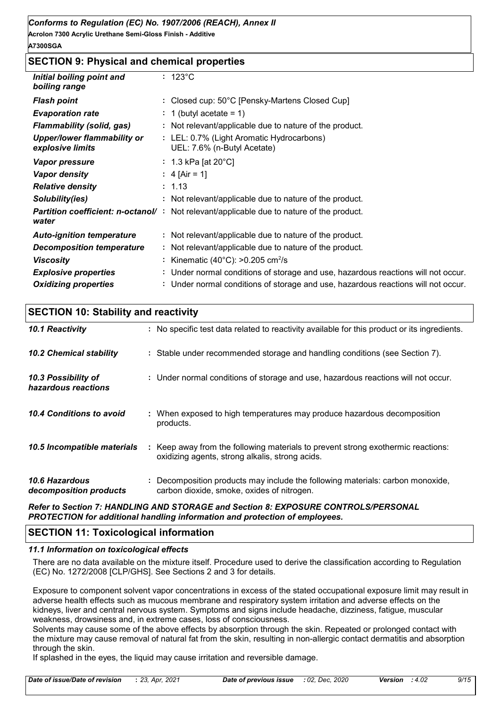# **SECTION 9: Physical and chemical properties**

| Initial boiling point and<br>boiling range             | $: 123^{\circ}$ C                                                                 |
|--------------------------------------------------------|-----------------------------------------------------------------------------------|
| <b>Flash point</b>                                     | : Closed cup: 50°C [Pensky-Martens Closed Cup]                                    |
| <b>Evaporation rate</b>                                | $: 1$ (butyl acetate = 1)                                                         |
| Flammability (solid, gas)                              | : Not relevant/applicable due to nature of the product.                           |
| <b>Upper/lower flammability or</b><br>explosive limits | : LEL: 0.7% (Light Aromatic Hydrocarbons)<br>UEL: 7.6% (n-Butyl Acetate)          |
| Vapor pressure                                         | : 1.3 kPa [at 20 $^{\circ}$ C]                                                    |
| <b>Vapor density</b>                                   | : 4 [Air = 1]                                                                     |
| <b>Relative density</b>                                | : 1.13                                                                            |
| Solubility(ies)                                        | : Not relevant/applicable due to nature of the product.                           |
| <b>Partition coefficient: n-octanol/:</b><br>water     | Not relevant/applicable due to nature of the product.                             |
| <b>Auto-ignition temperature</b>                       | : Not relevant/applicable due to nature of the product.                           |
| <b>Decomposition temperature</b>                       | : Not relevant/applicable due to nature of the product.                           |
| <b>Viscosity</b>                                       | : Kinematic (40 $^{\circ}$ C): >0.205 cm <sup>2</sup> /s                          |
| <b>Explosive properties</b>                            | : Under normal conditions of storage and use, hazardous reactions will not occur. |
| <b>Oxidizing properties</b>                            | : Under normal conditions of storage and use, hazardous reactions will not occur. |

| <b>SECTION 10: Stability and reactivity</b>     |                                                                                                                                     |  |  |  |
|-------------------------------------------------|-------------------------------------------------------------------------------------------------------------------------------------|--|--|--|
| 10.1 Reactivity                                 | : No specific test data related to reactivity available for this product or its ingredients.                                        |  |  |  |
| <b>10.2 Chemical stability</b>                  | : Stable under recommended storage and handling conditions (see Section 7).                                                         |  |  |  |
| 10.3 Possibility of<br>hazardous reactions      | : Under normal conditions of storage and use, hazardous reactions will not occur.                                                   |  |  |  |
| 10.4 Conditions to avoid                        | When exposed to high temperatures may produce hazardous decomposition<br>products.                                                  |  |  |  |
| 10.5 Incompatible materials                     | : Keep away from the following materials to prevent strong exothermic reactions:<br>oxidizing agents, strong alkalis, strong acids. |  |  |  |
| <b>10.6 Hazardous</b><br>decomposition products | Decomposition products may include the following materials: carbon monoxide,<br>carbon dioxide, smoke, oxides of nitrogen.          |  |  |  |
|                                                 | <b>Deferse Continue 7: UANDI INC AND CTODACE and Continue O. EVROCURE CONTROL CIREDCONAL</b>                                        |  |  |  |

*Refer to Section 7: HANDLING AND STORAGE and Section 8: EXPOSURE CONTROLS/PERSONAL PROTECTION for additional handling information and protection of employees.*

# **SECTION 11: Toxicological information**

#### *11.1 Information on toxicological effects*

There are no data available on the mixture itself. Procedure used to derive the classification according to Regulation (EC) No. 1272/2008 [CLP/GHS]. See Sections 2 and 3 for details.

Exposure to component solvent vapor concentrations in excess of the stated occupational exposure limit may result in adverse health effects such as mucous membrane and respiratory system irritation and adverse effects on the kidneys, liver and central nervous system. Symptoms and signs include headache, dizziness, fatigue, muscular weakness, drowsiness and, in extreme cases, loss of consciousness.

Solvents may cause some of the above effects by absorption through the skin. Repeated or prolonged contact with the mixture may cause removal of natural fat from the skin, resulting in non-allergic contact dermatitis and absorption through the skin.

If splashed in the eyes, the liquid may cause irritation and reversible damage.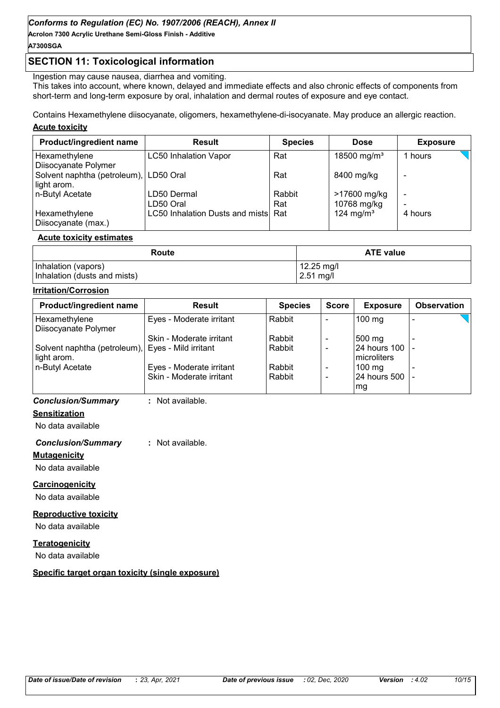# **SECTION 11: Toxicological information**

Ingestion may cause nausea, diarrhea and vomiting.

This takes into account, where known, delayed and immediate effects and also chronic effects of components from short-term and long-term exposure by oral, inhalation and dermal routes of exposure and eye contact.

Contains Hexamethylene diisocyanate, oligomers, hexamethylene-di-isocyanate. May produce an allergic reaction.

#### **Acute toxicity**

| Product/ingredient name                | <b>Result</b>                       | <b>Species</b> | <b>Dose</b>             | <b>Exposure</b> |
|----------------------------------------|-------------------------------------|----------------|-------------------------|-----------------|
| Hexamethylene<br>Diisocyanate Polymer  | <b>LC50 Inhalation Vapor</b>        | Rat            | 18500 mg/m <sup>3</sup> | 1 hours         |
| Solvent naphtha (petroleum), LD50 Oral |                                     | Rat            | 8400 mg/kg              |                 |
| light arom.<br>n-Butyl Acetate         | LD50 Dermal                         | Rabbit         | >17600 mg/kg            | -               |
|                                        | LD50 Oral                           | Rat            | 10768 mg/kg             |                 |
| Hexamethylene<br>Diisocyanate (max.)   | LC50 Inhalation Dusts and mists Rat |                | 124 mg/m <sup>3</sup>   | 4 hours         |

#### **Acute toxicity estimates**

| Route                        | <b>ATE value</b> |
|------------------------------|------------------|
| Inhalation (vapors)          | 12.25 mg/l       |
| Inhalation (dusts and mists) | $2.51$ mg/l      |

#### **Irritation/Corrosion**

| <b>Result</b>                                     | <b>Species</b> | <b>Score</b> | <b>Exposure</b>  | <b>Observation</b> |
|---------------------------------------------------|----------------|--------------|------------------|--------------------|
| Eyes - Moderate irritant                          | Rabbit         |              | $100$ mg         |                    |
|                                                   |                |              |                  |                    |
| Skin - Moderate irritant                          | Rabbit         |              | 500 mg           |                    |
| Solvent naphtha (petroleum), Eyes - Mild irritant | Rabbit         |              | 24 hours 100  -  |                    |
|                                                   |                |              | Imicroliters     |                    |
| Eyes - Moderate irritant                          | Rabbit         |              | $100 \text{ mg}$ |                    |
| Skin - Moderate irritant                          | Rabbit         |              | 24 hours 500   - |                    |
|                                                   |                |              | mg.              |                    |
|                                                   |                |              |                  |                    |

#### *Conclusion/Summary* **:** Not available.

**Sensitization**

No data available

#### *Conclusion/Summary* **:** Not available.

**Mutagenicity**

No data available

#### **Carcinogenicity**

No data available

#### **Reproductive toxicity**

No data available

#### **Teratogenicity**

No data available

#### **Specific target organ toxicity (single exposure)**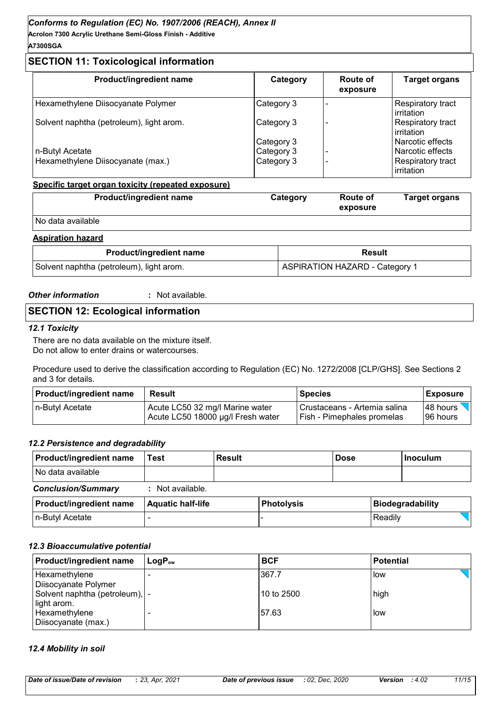# **SECTION 11: Toxicological information**

| Product/ingredient name                  | Category   | Route of<br>exposure | <b>Target organs</b>            |
|------------------------------------------|------------|----------------------|---------------------------------|
| Hexamethylene Diisocyanate Polymer       | Category 3 |                      | Respiratory tract<br>irritation |
| Solvent naphtha (petroleum), light arom. | Category 3 |                      | Respiratory tract<br>irritation |
|                                          | Category 3 |                      | Narcotic effects                |
| n-Butyl Acetate                          | Category 3 |                      | Narcotic effects                |
| Hexamethylene Diisocyanate (max.)        | Category 3 |                      | Respiratory tract<br>irritation |

#### **Specific target organ toxicity (repeated exposure)**

| <b>Product/ingredient name</b> | Category | <b>Route of</b><br>exposure | Target organs |
|--------------------------------|----------|-----------------------------|---------------|
| No data available              |          |                             |               |

#### **Aspiration hazard**

| <b>Product/ingredient name</b>           | Result                         |  |
|------------------------------------------|--------------------------------|--|
| Solvent naphtha (petroleum), light arom. | ASPIRATION HAZARD - Category 1 |  |

#### *Other information* **:**

: Not available.

# **SECTION 12: Ecological information**

#### *12.1 Toxicity*

There are no data available on the mixture itself. Do not allow to enter drains or watercourses.

Procedure used to derive the classification according to Regulation (EC) No. 1272/2008 [CLP/GHS]. See Sections 2 and 3 for details.

| <b>Product/ingredient name</b> | Result                            | <b>Species</b>                    | <b>Exposure</b> |
|--------------------------------|-----------------------------------|-----------------------------------|-----------------|
| In-Butyl Acetate               | Acute LC50 32 mg/l Marine water   | I Crustaceans - Artemia salina    | I48 hours       |
|                                | Acute LC50 18000 µg/l Fresh water | <b>Fish - Pimephales promelas</b> | 196 hours       |

#### *12.2 Persistence and degradability*

| <b>Product/ingredient name</b> | Test                     | <b>Result</b> |                   | <b>Dose</b> |         | l Inoculum              |
|--------------------------------|--------------------------|---------------|-------------------|-------------|---------|-------------------------|
| No data available              |                          |               |                   |             |         |                         |
| <b>Conclusion/Summary</b>      | : Not available.         |               |                   |             |         |                         |
| <b>Product/ingredient name</b> | <b>Aquatic half-life</b> |               | <b>Photolysis</b> |             |         | <b>Biodegradability</b> |
| n-Butyl Acetate                |                          |               |                   |             | Readily |                         |

#### *12.3 Bioaccumulative potential*

| Product/ingredient name         | $\mathsf{LogP}_\mathsf{ow}$ | <b>BCF</b>  | <b>Potential</b> |
|---------------------------------|-----------------------------|-------------|------------------|
| Hexamethylene                   |                             | 367.7       | low              |
| Diisocyanate Polymer            |                             |             |                  |
| Solvent naphtha (petroleum),  - |                             | l10 to 2500 | high             |
| light arom.                     |                             |             |                  |
| Hexamethylene                   |                             | 57.63       | low              |
| Diisocyanate (max.)             |                             |             |                  |

#### *12.4 Mobility in soil*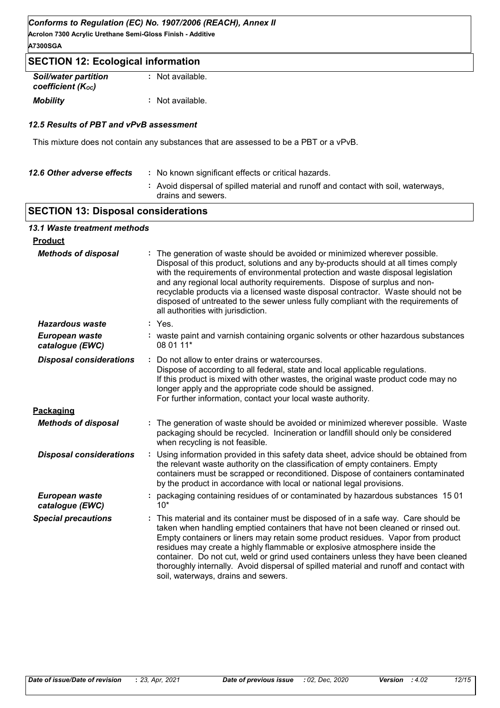**Acrolon 7300 Acrylic Urethane Semi-Gloss Finish - Additive A7300SGA**

# **SECTION 12: Ecological information**

| <b>Soil/water partition</b> | : Not available. |
|-----------------------------|------------------|
| coefficient (Koc)           |                  |
| <b>Mobility</b>             | : Not available. |

#### *12.5 Results of PBT and vPvB assessment*

This mixture does not contain any substances that are assessed to be a PBT or a vPvB.

| 12.6 Other adverse effects | : No known significant effects or critical hazards.                                                      |
|----------------------------|----------------------------------------------------------------------------------------------------------|
|                            | : Avoid dispersal of spilled material and runoff and contact with soil, waterways,<br>drains and sewers. |
|                            |                                                                                                          |

# **SECTION 13: Disposal considerations**

#### *13.1 Waste treatment methods*

| <b>Product</b>                    |                                                                                                                                                                                                                                                                                                                                                                                                                                                                                                                                                              |  |
|-----------------------------------|--------------------------------------------------------------------------------------------------------------------------------------------------------------------------------------------------------------------------------------------------------------------------------------------------------------------------------------------------------------------------------------------------------------------------------------------------------------------------------------------------------------------------------------------------------------|--|
| <b>Methods of disposal</b>        | The generation of waste should be avoided or minimized wherever possible.<br>Disposal of this product, solutions and any by-products should at all times comply<br>with the requirements of environmental protection and waste disposal legislation<br>and any regional local authority requirements. Dispose of surplus and non-<br>recyclable products via a licensed waste disposal contractor. Waste should not be<br>disposed of untreated to the sewer unless fully compliant with the requirements of<br>all authorities with jurisdiction.           |  |
| Hazardous waste                   | : Yes.                                                                                                                                                                                                                                                                                                                                                                                                                                                                                                                                                       |  |
| European waste<br>catalogue (EWC) | : waste paint and varnish containing organic solvents or other hazardous substances<br>08 01 11*                                                                                                                                                                                                                                                                                                                                                                                                                                                             |  |
| <b>Disposal considerations</b>    | Do not allow to enter drains or watercourses.<br>Dispose of according to all federal, state and local applicable regulations.<br>If this product is mixed with other wastes, the original waste product code may no<br>longer apply and the appropriate code should be assigned.<br>For further information, contact your local waste authority.                                                                                                                                                                                                             |  |
| Packaging                         |                                                                                                                                                                                                                                                                                                                                                                                                                                                                                                                                                              |  |
| <b>Methods of disposal</b>        | The generation of waste should be avoided or minimized wherever possible. Waste<br>packaging should be recycled. Incineration or landfill should only be considered<br>when recycling is not feasible.                                                                                                                                                                                                                                                                                                                                                       |  |
| <b>Disposal considerations</b>    | Using information provided in this safety data sheet, advice should be obtained from<br>the relevant waste authority on the classification of empty containers. Empty<br>containers must be scrapped or reconditioned. Dispose of containers contaminated<br>by the product in accordance with local or national legal provisions.                                                                                                                                                                                                                           |  |
| European waste<br>catalogue (EWC) | packaging containing residues of or contaminated by hazardous substances 1501<br>$10*$                                                                                                                                                                                                                                                                                                                                                                                                                                                                       |  |
| <b>Special precautions</b>        | This material and its container must be disposed of in a safe way. Care should be<br>taken when handling emptied containers that have not been cleaned or rinsed out.<br>Empty containers or liners may retain some product residues. Vapor from product<br>residues may create a highly flammable or explosive atmosphere inside the<br>container. Do not cut, weld or grind used containers unless they have been cleaned<br>thoroughly internally. Avoid dispersal of spilled material and runoff and contact with<br>soil, waterways, drains and sewers. |  |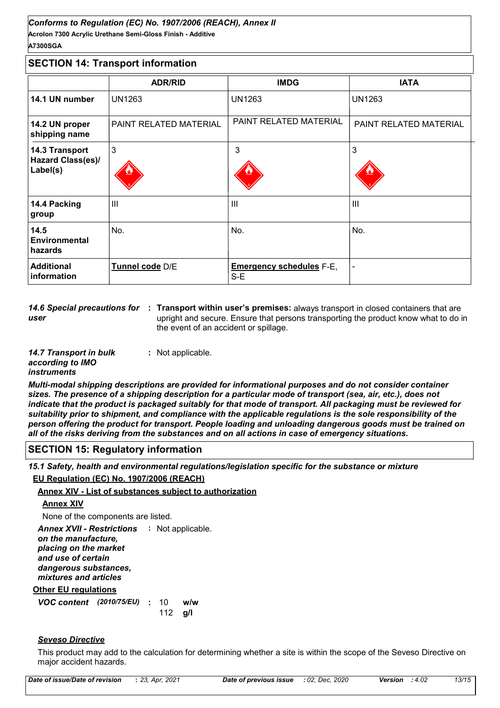#### **Acrolon 7300 Acrylic Urethane Semi-Gloss Finish - Additive** *Conforms to Regulation (EC) No. 1907/2006 (REACH), Annex II* **A7300SGA**

# **SECTION 14: Transport information**

|                                                        | <b>ADR/RID</b>         | <b>IMDG</b>                              | <b>IATA</b>            |
|--------------------------------------------------------|------------------------|------------------------------------------|------------------------|
| 14.1 UN number                                         | <b>UN1263</b>          | <b>UN1263</b>                            | <b>UN1263</b>          |
| 14.2 UN proper<br>shipping name                        | PAINT RELATED MATERIAL | PAINT RELATED MATERIAL                   | PAINT RELATED MATERIAL |
| 14.3 Transport<br><b>Hazard Class(es)/</b><br>Label(s) | 3                      | 3                                        | 3                      |
| 14.4 Packing<br>group                                  | Ш                      | $\mathbf{III}$                           | III                    |
| 14.5<br><b>Environmental</b><br>hazards                | No.                    | No.                                      | No.                    |
| <b>Additional</b><br>information                       | Tunnel code D/E        | <b>Emergency schedules F-E,</b><br>$S-E$ |                        |

14.6 Special precautions for : Transport within user's premises: always transport in closed containers that are *user* upright and secure. Ensure that persons transporting the product know what to do in the event of an accident or spillage.

| 14.7 Transport in bulk | : Not applicable. |
|------------------------|-------------------|
| according to IMO       |                   |
| <i>instruments</i>     |                   |

*Multi-modal shipping descriptions are provided for informational purposes and do not consider container sizes. The presence of a shipping description for a particular mode of transport (sea, air, etc.), does not indicate that the product is packaged suitably for that mode of transport. All packaging must be reviewed for suitability prior to shipment, and compliance with the applicable regulations is the sole responsibility of the person offering the product for transport. People loading and unloading dangerous goods must be trained on all of the risks deriving from the substances and on all actions in case of emergency situations.*

# **SECTION 15: Regulatory information**

*15.1 Safety, health and environmental regulations/legislation specific for the substance or mixture*

#### **EU Regulation (EC) No. 1907/2006 (REACH)**

#### **Annex XIV - List of substances subject to authorization**

# **Annex XIV**

None of the components are listed.

**Other EU regulations** Annex XVII - Restrictions : Not applicable. *on the manufacture, placing on the market and use of certain dangerous substances, mixtures and articles*

*VOC content* (2010/75/EU) : 10 w/w **g/l** 112  $w/w$ 

# *Seveso Directive*

This product may add to the calculation for determining whether a site is within the scope of the Seveso Directive on major accident hazards.

| 13/15<br>Date of issue/Date of revision<br>: 02. Dec. 2020<br>: 23, Apr. 2021<br>: 4.02<br>Date of previous issue<br>Version |
|------------------------------------------------------------------------------------------------------------------------------|
|------------------------------------------------------------------------------------------------------------------------------|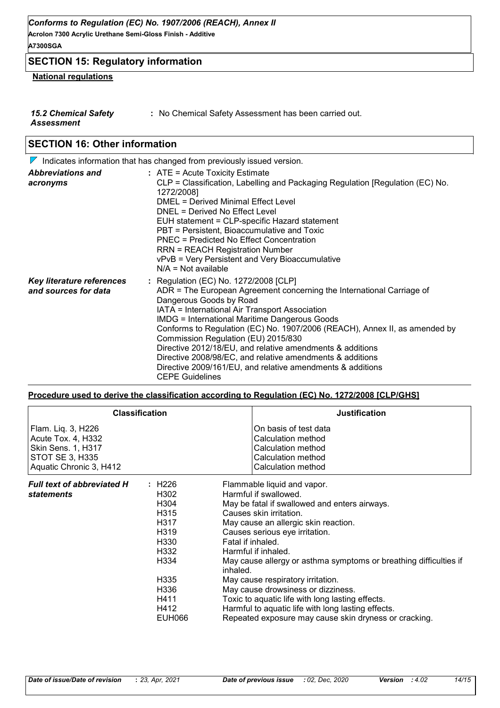# **SECTION 15: Regulatory information**

#### **National regulations**

- *15.2 Chemical Safety Assessment*
- **:** No Chemical Safety Assessment has been carried out.

# **SECTION 16: Other information**

|                                                   | $\nabla$ Indicates information that has changed from previously issued version.                                                                                                                                                                                                                                                                                                                                                                                                                                                                                                            |
|---------------------------------------------------|--------------------------------------------------------------------------------------------------------------------------------------------------------------------------------------------------------------------------------------------------------------------------------------------------------------------------------------------------------------------------------------------------------------------------------------------------------------------------------------------------------------------------------------------------------------------------------------------|
| <b>Abbreviations and</b><br>acronyms              | $:$ ATE = Acute Toxicity Estimate<br>CLP = Classification, Labelling and Packaging Regulation [Regulation (EC) No.<br>1272/2008]<br><b>DMEL = Derived Minimal Effect Level</b><br>DNEL = Derived No Effect Level<br>EUH statement = CLP-specific Hazard statement<br>PBT = Persistent, Bioaccumulative and Toxic<br><b>PNEC = Predicted No Effect Concentration</b><br><b>RRN = REACH Registration Number</b><br>vPvB = Very Persistent and Very Bioaccumulative<br>$N/A = Not available$                                                                                                  |
| Key literature references<br>and sources for data | : Regulation (EC) No. 1272/2008 [CLP]<br>ADR = The European Agreement concerning the International Carriage of<br>Dangerous Goods by Road<br>IATA = International Air Transport Association<br><b>IMDG = International Maritime Dangerous Goods</b><br>Conforms to Regulation (EC) No. 1907/2006 (REACH), Annex II, as amended by<br>Commission Regulation (EU) 2015/830<br>Directive 2012/18/EU, and relative amendments & additions<br>Directive 2008/98/EC, and relative amendments & additions<br>Directive 2009/161/EU, and relative amendments & additions<br><b>CEPE Guidelines</b> |

#### **Procedure used to derive the classification according to Regulation (EC) No. 1272/2008 [CLP/GHS]**

|                                                                                                                     | <b>Classification</b>                                                                                                                | <b>Justification</b>                                                                                                                                                                                                                                                                                                                                                                                                                                                                                                                                                                  |
|---------------------------------------------------------------------------------------------------------------------|--------------------------------------------------------------------------------------------------------------------------------------|---------------------------------------------------------------------------------------------------------------------------------------------------------------------------------------------------------------------------------------------------------------------------------------------------------------------------------------------------------------------------------------------------------------------------------------------------------------------------------------------------------------------------------------------------------------------------------------|
| Flam. Liq. 3, H226<br>Acute Tox. 4, H332<br>Skin Sens. 1, H317<br><b>STOT SE 3, H335</b><br>Aquatic Chronic 3, H412 |                                                                                                                                      | On basis of test data<br>Calculation method<br><b>Calculation method</b><br>Calculation method<br>Calculation method                                                                                                                                                                                                                                                                                                                                                                                                                                                                  |
| <b>Full text of abbreviated H</b><br><i>statements</i>                                                              | : H226<br>H302<br>H304<br>H <sub>3</sub> 15<br>H317<br>H319<br>H330<br>H332<br>H334<br>H335<br>H336<br>H411<br>H412<br><b>EUH066</b> | Flammable liquid and vapor.<br>Harmful if swallowed.<br>May be fatal if swallowed and enters airways.<br>Causes skin irritation.<br>May cause an allergic skin reaction.<br>Causes serious eye irritation.<br>Fatal if inhaled.<br>Harmful if inhaled.<br>May cause allergy or asthma symptoms or breathing difficulties if<br>inhaled.<br>May cause respiratory irritation.<br>May cause drowsiness or dizziness.<br>Toxic to aquatic life with long lasting effects.<br>Harmful to aquatic life with long lasting effects.<br>Repeated exposure may cause skin dryness or cracking. |